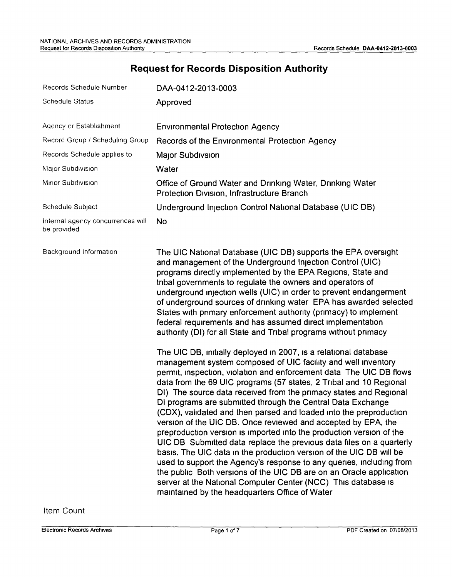## **Request for Records Disposition Authority**

| Records Schedule Number                          | DAA-0412-2013-0003                                                                                                                                                                                                                                                                                                                                                                                                                                                                                                                                                                                                                                                                                                                                                                                                                                                                                                                                                                                                                                 |  |
|--------------------------------------------------|----------------------------------------------------------------------------------------------------------------------------------------------------------------------------------------------------------------------------------------------------------------------------------------------------------------------------------------------------------------------------------------------------------------------------------------------------------------------------------------------------------------------------------------------------------------------------------------------------------------------------------------------------------------------------------------------------------------------------------------------------------------------------------------------------------------------------------------------------------------------------------------------------------------------------------------------------------------------------------------------------------------------------------------------------|--|
| <b>Schedule Status</b>                           | Approved                                                                                                                                                                                                                                                                                                                                                                                                                                                                                                                                                                                                                                                                                                                                                                                                                                                                                                                                                                                                                                           |  |
| Agency or Establishment                          | <b>Environmental Protection Agency</b>                                                                                                                                                                                                                                                                                                                                                                                                                                                                                                                                                                                                                                                                                                                                                                                                                                                                                                                                                                                                             |  |
| Record Group / Scheduling Group                  | Records of the Environmental Protection Agency                                                                                                                                                                                                                                                                                                                                                                                                                                                                                                                                                                                                                                                                                                                                                                                                                                                                                                                                                                                                     |  |
| Records Schedule applies to                      | Major Subdivsion                                                                                                                                                                                                                                                                                                                                                                                                                                                                                                                                                                                                                                                                                                                                                                                                                                                                                                                                                                                                                                   |  |
| Major Subdivision                                | Water                                                                                                                                                                                                                                                                                                                                                                                                                                                                                                                                                                                                                                                                                                                                                                                                                                                                                                                                                                                                                                              |  |
| Minor Subdivision                                | Office of Ground Water and Drinking Water, Drinking Water<br>Protection Division, Infrastructure Branch                                                                                                                                                                                                                                                                                                                                                                                                                                                                                                                                                                                                                                                                                                                                                                                                                                                                                                                                            |  |
| Schedule Subject                                 | Underground Injection Control National Database (UIC DB)                                                                                                                                                                                                                                                                                                                                                                                                                                                                                                                                                                                                                                                                                                                                                                                                                                                                                                                                                                                           |  |
| Internal agency concurrences will<br>be provided | <b>No</b>                                                                                                                                                                                                                                                                                                                                                                                                                                                                                                                                                                                                                                                                                                                                                                                                                                                                                                                                                                                                                                          |  |
| Background Information                           | The UIC National Database (UIC DB) supports the EPA oversight<br>and management of the Underground Injection Control (UIC)<br>programs directly implemented by the EPA Regions, State and<br>tribal governments to regulate the owners and operators of<br>underground injection wells (UIC) in order to prevent endangerment<br>of underground sources of drinking water EPA has awarded selected<br>States with primary enforcement authority (primacy) to implement<br>federal requirements and has assumed direct implementation<br>authority (DI) for all State and Tribal programs without primacy                                                                                                                                                                                                                                                                                                                                                                                                                                           |  |
|                                                  | The UIC DB, initially deployed in 2007, is a relational database<br>management system composed of UIC facility and well inventory<br>permit, inspection, violation and enforcement data The UIC DB flows<br>data from the 69 UIC programs (57 states, 2 Tribal and 10 Regional<br>DI) The source data received from the primacy states and Regional<br>DI programs are submitted through the Central Data Exchange<br>(CDX), validated and then parsed and loaded into the preproduction<br>version of the UIC DB. Once reviewed and accepted by EPA, the<br>preproduction version is imported into the production version of the<br>UIC DB Submitted data replace the previous data files on a quarterly<br>basis. The UIC data in the production version of the UIC DB will be<br>used to support the Agency's response to any queries, including from<br>the public Both versions of the UIC DB are on an Oracle application<br>server at the National Computer Center (NCC) This database is<br>maintained by the headquarters Office of Water |  |

Item Count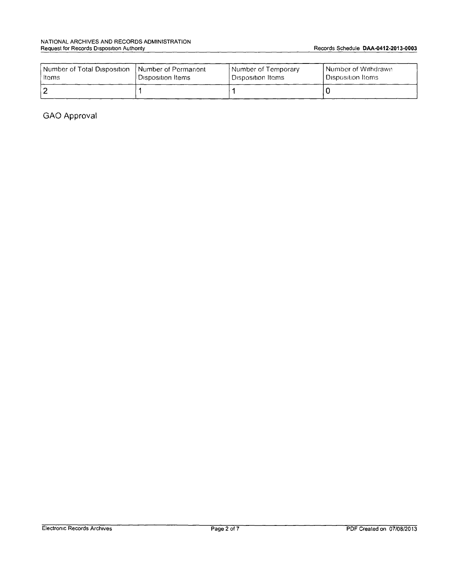| Number of Total Disposition | Number of Permanent  | Number of Temporary | Number of Withdrawn   |
|-----------------------------|----------------------|---------------------|-----------------------|
| ltems                       | l Disposition Items. | ! Disposition Items | ! Disposition Items : |
|                             |                      |                     |                       |

GAO Approval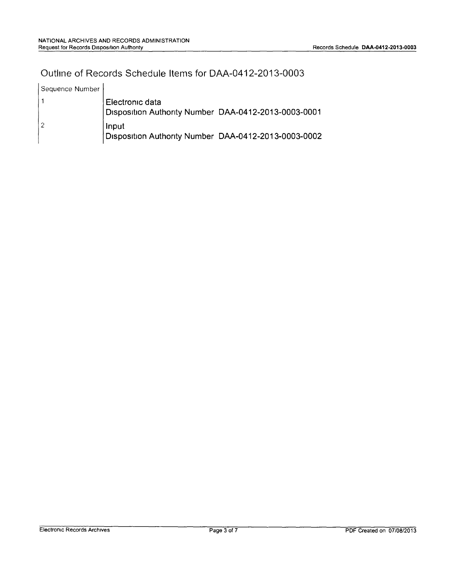#### Outline of Records Schedule Items for DAA-0412-2013-0003

| Sequence Number |                                                                         |  |
|-----------------|-------------------------------------------------------------------------|--|
|                 | Electronic data<br>Disposition Authority Number DAA-0412-2013-0003-0001 |  |
|                 | Input<br>Disposition Authority Number DAA-0412-2013-0003-0002           |  |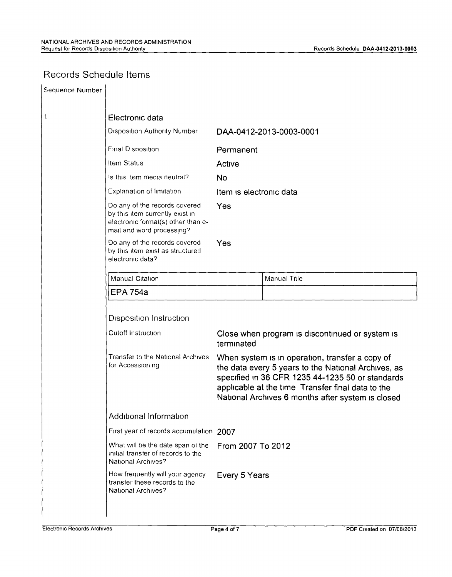## Records Schedule Items

| Sequence Number                         |                                                                                                                                     |                                                                                                                                                                                                                                                                                                                                       |                         |
|-----------------------------------------|-------------------------------------------------------------------------------------------------------------------------------------|---------------------------------------------------------------------------------------------------------------------------------------------------------------------------------------------------------------------------------------------------------------------------------------------------------------------------------------|-------------------------|
| 1                                       | Electronic data                                                                                                                     |                                                                                                                                                                                                                                                                                                                                       |                         |
|                                         | <b>Disposition Authority Number</b>                                                                                                 |                                                                                                                                                                                                                                                                                                                                       | DAA-0412-2013-0003-0001 |
|                                         | Final Disposition                                                                                                                   | Permanent                                                                                                                                                                                                                                                                                                                             |                         |
|                                         | Item Status                                                                                                                         | Active                                                                                                                                                                                                                                                                                                                                |                         |
|                                         | Is this item media neutral?                                                                                                         | <b>No</b>                                                                                                                                                                                                                                                                                                                             |                         |
|                                         | Explanation of limitation                                                                                                           | Item is electronic data<br>Yes                                                                                                                                                                                                                                                                                                        |                         |
|                                         | Do any of the records covered<br>by this item currently exist in<br>electronic format(s) other than e-<br>mail and word processing? |                                                                                                                                                                                                                                                                                                                                       |                         |
|                                         | Do any of the records covered<br>Yes<br>by this item exist as structured<br>electronic data?                                        |                                                                                                                                                                                                                                                                                                                                       |                         |
|                                         | Manual Citation                                                                                                                     |                                                                                                                                                                                                                                                                                                                                       | Manual Title            |
|                                         | <b>EPA 754a</b>                                                                                                                     |                                                                                                                                                                                                                                                                                                                                       |                         |
|                                         | <b>Disposition Instruction</b>                                                                                                      |                                                                                                                                                                                                                                                                                                                                       |                         |
|                                         | Cutoff Instruction                                                                                                                  | Close when program is discontinued or system is<br>terminated<br>When system is in operation, transfer a copy of<br>the data every 5 years to the National Archives, as<br>specified in 36 CFR 1235 44-1235 50 or standards<br>applicable at the time Transfer final data to the<br>National Archives 6 months after system is closed |                         |
|                                         | Transfer to the National Archives<br>for Accessioning                                                                               |                                                                                                                                                                                                                                                                                                                                       |                         |
|                                         | Additional Information                                                                                                              |                                                                                                                                                                                                                                                                                                                                       |                         |
| First year of records accumulation 2007 |                                                                                                                                     |                                                                                                                                                                                                                                                                                                                                       |                         |
|                                         | What will be the date span of the<br>initial transfer of records to the<br>National Archives?                                       | From 2007 To 2012                                                                                                                                                                                                                                                                                                                     |                         |
|                                         | How frequently will your agency<br>transfer these records to the<br>National Archives?                                              | Every 5 Years                                                                                                                                                                                                                                                                                                                         |                         |
|                                         |                                                                                                                                     |                                                                                                                                                                                                                                                                                                                                       |                         |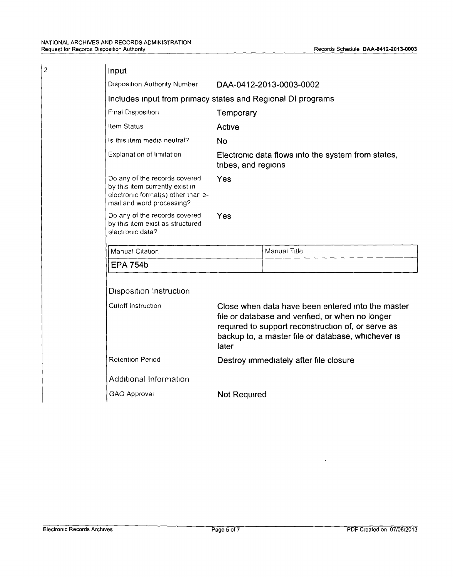$\overline{2}$ 

| Input                                                                                                                               |                                                                                                                                                                                                                            |              |  |  |
|-------------------------------------------------------------------------------------------------------------------------------------|----------------------------------------------------------------------------------------------------------------------------------------------------------------------------------------------------------------------------|--------------|--|--|
| <b>Disposition Authority Number</b>                                                                                                 | DAA-0412-2013-0003-0002                                                                                                                                                                                                    |              |  |  |
| Includes input from primacy states and Regional DI programs                                                                         |                                                                                                                                                                                                                            |              |  |  |
| Final Disposition                                                                                                                   | Temporary                                                                                                                                                                                                                  |              |  |  |
| Item Status                                                                                                                         | Active                                                                                                                                                                                                                     |              |  |  |
| Is this item media neutral?                                                                                                         | <b>No</b>                                                                                                                                                                                                                  |              |  |  |
| Explanation of limitation                                                                                                           | Electronic data flows into the system from states,<br>tribes, and regions                                                                                                                                                  |              |  |  |
| Do any of the records covered<br>by this item currently exist in<br>electronic format(s) other than e-<br>mail and word processing? | Yes                                                                                                                                                                                                                        |              |  |  |
| Do any of the records covered<br>by this item exist as structured<br>electronic data?                                               | Yes                                                                                                                                                                                                                        |              |  |  |
| Manual Citation                                                                                                                     |                                                                                                                                                                                                                            | Manual Title |  |  |
| <b>EPA 754b</b>                                                                                                                     |                                                                                                                                                                                                                            |              |  |  |
| <b>Disposition Instruction</b>                                                                                                      |                                                                                                                                                                                                                            |              |  |  |
| Cutoff Instruction                                                                                                                  | Close when data have been entered into the master<br>file or database and verified, or when no longer<br>required to support reconstruction of, or serve as<br>backup to, a master file or database, whichever is<br>later |              |  |  |
| <b>Retention Period</b>                                                                                                             | Destroy immediately after file closure                                                                                                                                                                                     |              |  |  |
| Additional Information                                                                                                              |                                                                                                                                                                                                                            |              |  |  |
| GAO Approval                                                                                                                        | <b>Not Required</b>                                                                                                                                                                                                        |              |  |  |
|                                                                                                                                     |                                                                                                                                                                                                                            |              |  |  |